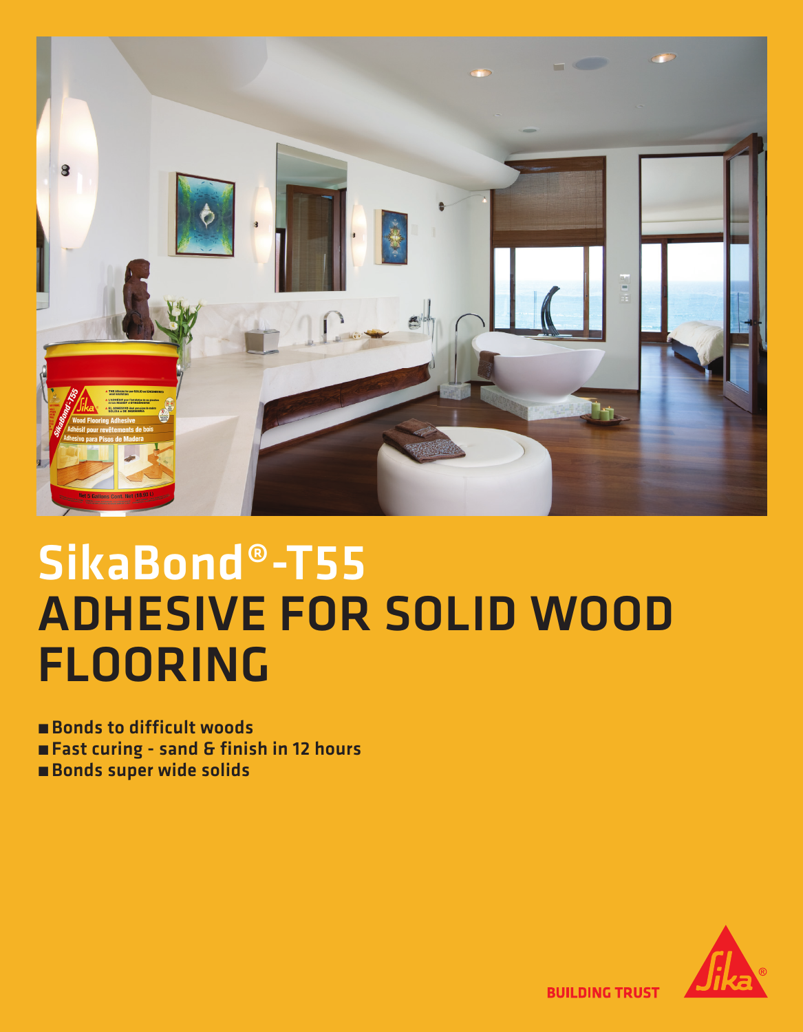

## SikaBond®-T55 **ADHESIVE FOR SOLID WOOD FLOORING**

**Bonds to difficult woods** 

- Fast curing sand & finish in 12 hours
- **Bonds super wide solids**



**BUILDING TRUST**